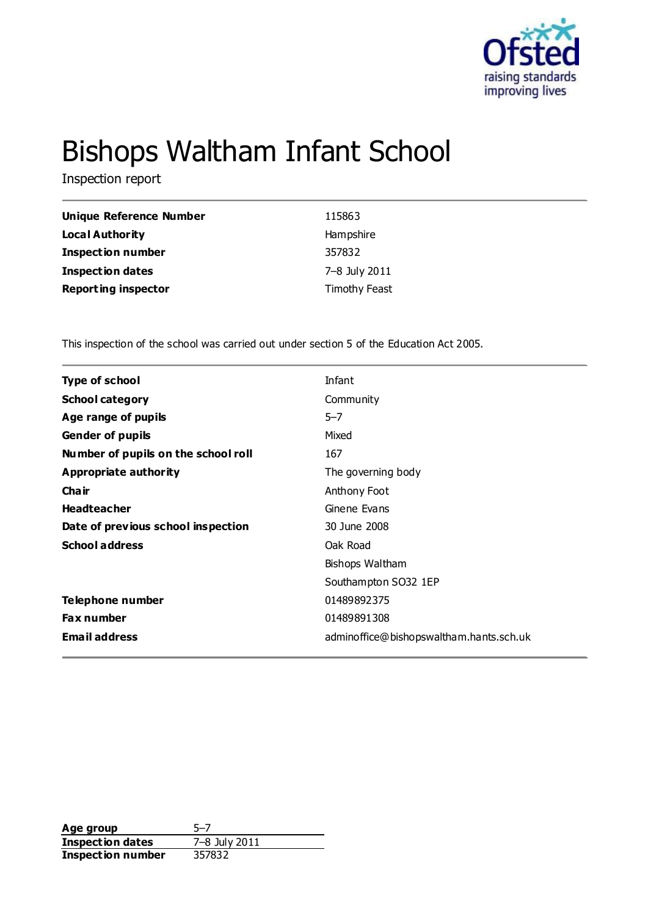

# Bishops Waltham Infant School

Inspection report

| <b>Unique Reference Number</b> | 115863        |
|--------------------------------|---------------|
| <b>Local Authority</b>         | Hampshire     |
| <b>Inspection number</b>       | 357832        |
| <b>Inspection dates</b>        | 7-8 July 2011 |
| <b>Reporting inspector</b>     | Timothy Feast |

This inspection of the school was carried out under section 5 of the Education Act 2005.

| <b>Type of school</b>               | Infant                                  |
|-------------------------------------|-----------------------------------------|
| <b>School category</b>              | Community                               |
| Age range of pupils                 | $5 - 7$                                 |
| <b>Gender of pupils</b>             | Mixed                                   |
| Number of pupils on the school roll | 167                                     |
| Appropriate authority               | The governing body                      |
| Cha ir                              | Anthony Foot                            |
| <b>Headteacher</b>                  | Ginene Evans                            |
| Date of previous school inspection  | 30 June 2008                            |
| <b>School address</b>               | Oak Road                                |
|                                     | Bishops Waltham                         |
|                                     | Southampton SO32 1EP                    |
| Telephone number                    | 01489892375                             |
| Fax number                          | 01489891308                             |
| <b>Email address</b>                | adminoffice@bishopswaltham.hants.sch.uk |
|                                     |                                         |

**Age group** 5-7<br> **Inspection dates** 7-8 July 2011 **Inspection dates** 7–8 July<br>**Inspection number** 357832 **Inspection number**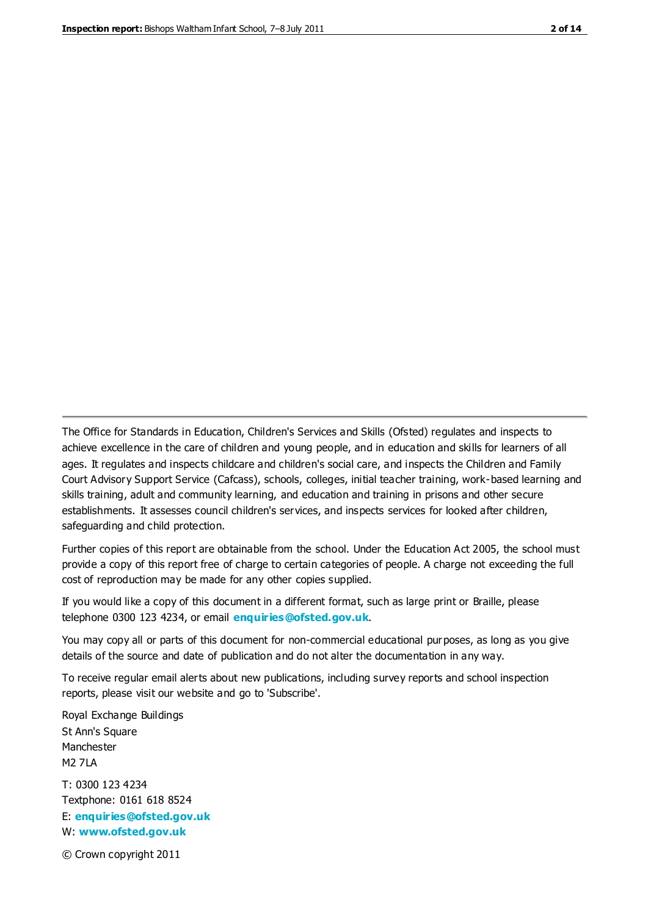The Office for Standards in Education, Children's Services and Skills (Ofsted) regulates and inspects to achieve excellence in the care of children and young people, and in education and skills for learners of all ages. It regulates and inspects childcare and children's social care, and inspects the Children and Family Court Advisory Support Service (Cafcass), schools, colleges, initial teacher training, work-based learning and skills training, adult and community learning, and education and training in prisons and other secure establishments. It assesses council children's services, and inspects services for looked after children, safeguarding and child protection.

Further copies of this report are obtainable from the school. Under the Education Act 2005, the school must provide a copy of this report free of charge to certain categories of people. A charge not exceeding the full cost of reproduction may be made for any other copies supplied.

If you would like a copy of this document in a different format, such as large print or Braille, please telephone 0300 123 4234, or email **[enquiries@ofsted.gov.uk](mailto:enquiries@ofsted.gov.uk)**.

You may copy all or parts of this document for non-commercial educational purposes, as long as you give details of the source and date of publication and do not alter the documentation in any way.

To receive regular email alerts about new publications, including survey reports and school inspection reports, please visit our website and go to 'Subscribe'.

Royal Exchange Buildings St Ann's Square Manchester M2 7LA T: 0300 123 4234 Textphone: 0161 618 8524 E: **[enquiries@ofsted.gov.uk](mailto:enquiries@ofsted.gov.uk)**

W: **[www.ofsted.gov.uk](http://www.ofsted.gov.uk/)**

© Crown copyright 2011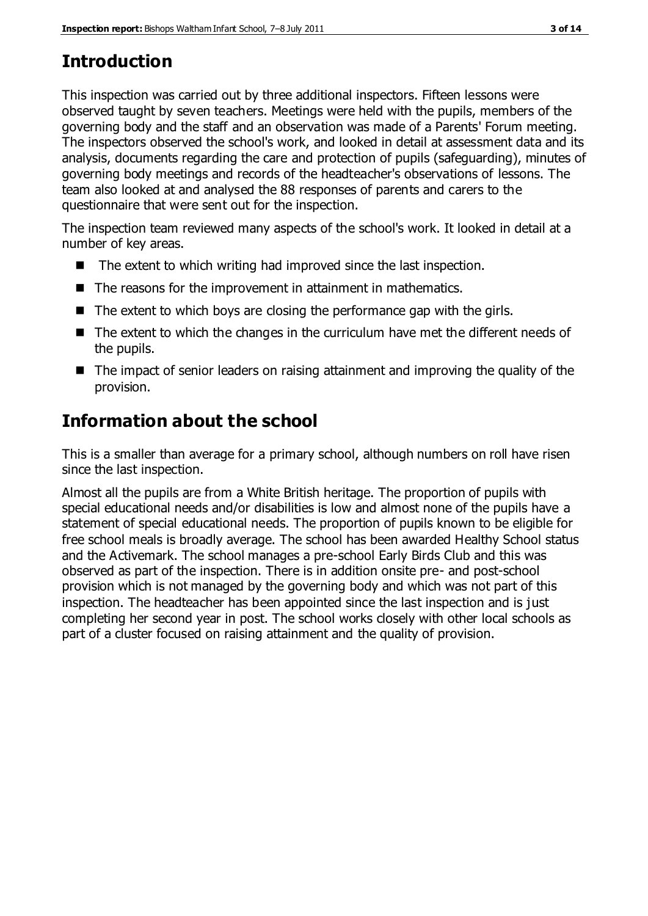# **Introduction**

This inspection was carried out by three additional inspectors. Fifteen lessons were observed taught by seven teachers. Meetings were held with the pupils, members of the governing body and the staff and an observation was made of a Parents' Forum meeting. The inspectors observed the school's work, and looked in detail at assessment data and its analysis, documents regarding the care and protection of pupils (safeguarding), minutes of governing body meetings and records of the headteacher's observations of lessons. The team also looked at and analysed the 88 responses of parents and carers to the questionnaire that were sent out for the inspection.

The inspection team reviewed many aspects of the school's work. It looked in detail at a number of key areas.

- $\blacksquare$  The extent to which writing had improved since the last inspection.
- The reasons for the improvement in attainment in mathematics.
- $\blacksquare$  The extent to which boys are closing the performance gap with the girls.
- The extent to which the changes in the curriculum have met the different needs of the pupils.
- The impact of senior leaders on raising attainment and improving the quality of the provision.

# **Information about the school**

This is a smaller than average for a primary school, although numbers on roll have risen since the last inspection.

Almost all the pupils are from a White British heritage. The proportion of pupils with special educational needs and/or disabilities is low and almost none of the pupils have a statement of special educational needs. The proportion of pupils known to be eligible for free school meals is broadly average. The school has been awarded Healthy School status and the Activemark. The school manages a pre-school Early Birds Club and this was observed as part of the inspection. There is in addition onsite pre- and post-school provision which is not managed by the governing body and which was not part of this inspection. The headteacher has been appointed since the last inspection and is just completing her second year in post. The school works closely with other local schools as part of a cluster focused on raising attainment and the quality of provision.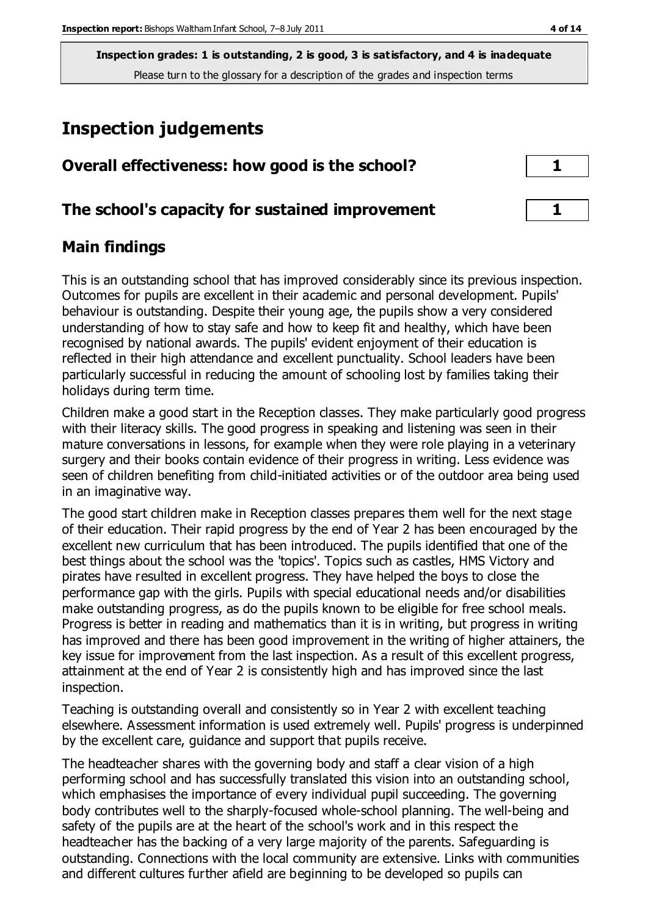**Inspection grades: 1 is outstanding, 2 is good, 3 is satisfactory, and 4 is inadequate** Please turn to the glossary for a description of the grades and inspection terms

# **Inspection judgements**

| Overall effectiveness: how good is the school?  |  |
|-------------------------------------------------|--|
| The school's capacity for sustained improvement |  |

## **Main findings**

This is an outstanding school that has improved considerably since its previous inspection. Outcomes for pupils are excellent in their academic and personal development. Pupils' behaviour is outstanding. Despite their young age, the pupils show a very considered understanding of how to stay safe and how to keep fit and healthy, which have been recognised by national awards. The pupils' evident enjoyment of their education is reflected in their high attendance and excellent punctuality. School leaders have been particularly successful in reducing the amount of schooling lost by families taking their holidays during term time.

Children make a good start in the Reception classes. They make particularly good progress with their literacy skills. The good progress in speaking and listening was seen in their mature conversations in lessons, for example when they were role playing in a veterinary surgery and their books contain evidence of their progress in writing. Less evidence was seen of children benefiting from child-initiated activities or of the outdoor area being used in an imaginative way.

The good start children make in Reception classes prepares them well for the next stage of their education. Their rapid progress by the end of Year 2 has been encouraged by the excellent new curriculum that has been introduced. The pupils identified that one of the best things about the school was the 'topics'. Topics such as castles, HMS Victory and pirates have resulted in excellent progress. They have helped the boys to close the performance gap with the girls. Pupils with special educational needs and/or disabilities make outstanding progress, as do the pupils known to be eligible for free school meals. Progress is better in reading and mathematics than it is in writing, but progress in writing has improved and there has been good improvement in the writing of higher attainers, the key issue for improvement from the last inspection. As a result of this excellent progress, attainment at the end of Year 2 is consistently high and has improved since the last inspection.

Teaching is outstanding overall and consistently so in Year 2 with excellent teaching elsewhere. Assessment information is used extremely well. Pupils' progress is underpinned by the excellent care, guidance and support that pupils receive.

The headteacher shares with the governing body and staff a clear vision of a high performing school and has successfully translated this vision into an outstanding school, which emphasises the importance of every individual pupil succeeding. The governing body contributes well to the sharply-focused whole-school planning. The well-being and safety of the pupils are at the heart of the school's work and in this respect the headteacher has the backing of a very large majority of the parents. Safeguarding is outstanding. Connections with the local community are extensive. Links with communities and different cultures further afield are beginning to be developed so pupils can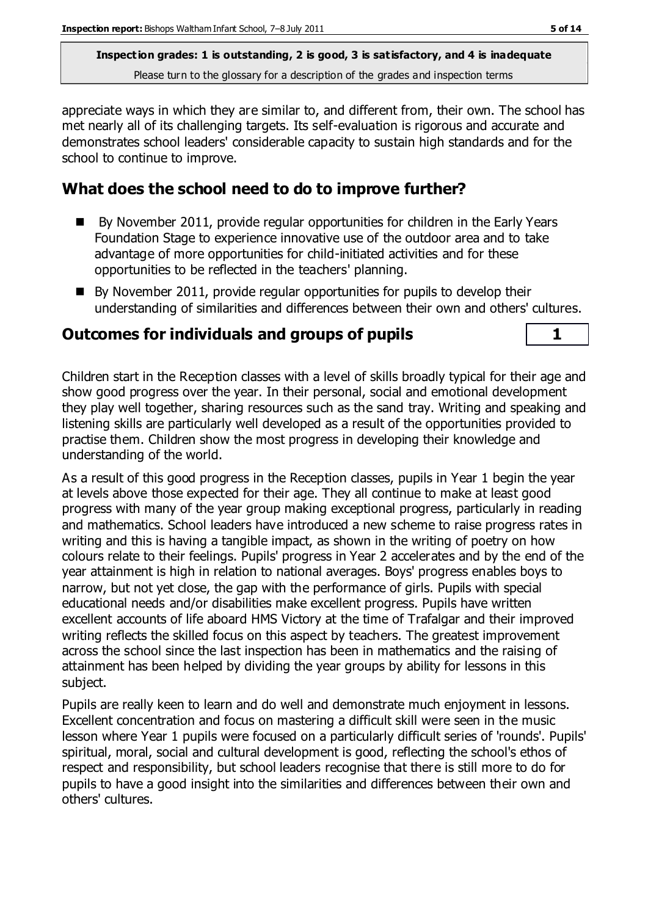**Inspection grades: 1 is outstanding, 2 is good, 3 is satisfactory, and 4 is inadequate** Please turn to the glossary for a description of the grades and inspection terms

appreciate ways in which they are similar to, and different from, their own. The school has met nearly all of its challenging targets. Its self-evaluation is rigorous and accurate and demonstrates school leaders' considerable capacity to sustain high standards and for the school to continue to improve.

# **What does the school need to do to improve further?**

- By November 2011, provide regular opportunities for children in the Early Years Foundation Stage to experience innovative use of the outdoor area and to take advantage of more opportunities for child-initiated activities and for these opportunities to be reflected in the teachers' planning.
- By November 2011, provide regular opportunities for pupils to develop their understanding of similarities and differences between their own and others' cultures.

# **Outcomes for individuals and groups of pupils 1**

Children start in the Reception classes with a level of skills broadly typical for their age and show good progress over the year. In their personal, social and emotional development they play well together, sharing resources such as the sand tray. Writing and speaking and listening skills are particularly well developed as a result of the opportunities provided to practise them. Children show the most progress in developing their knowledge and understanding of the world.

As a result of this good progress in the Reception classes, pupils in Year 1 begin the year at levels above those expected for their age. They all continue to make at least good progress with many of the year group making exceptional progress, particularly in reading and mathematics. School leaders have introduced a new scheme to raise progress rates in writing and this is having a tangible impact, as shown in the writing of poetry on how colours relate to their feelings. Pupils' progress in Year 2 accelerates and by the end of the year attainment is high in relation to national averages. Boys' progress enables boys to narrow, but not yet close, the gap with the performance of girls. Pupils with special educational needs and/or disabilities make excellent progress. Pupils have written excellent accounts of life aboard HMS Victory at the time of Trafalgar and their improved writing reflects the skilled focus on this aspect by teachers. The greatest improvement across the school since the last inspection has been in mathematics and the raising of attainment has been helped by dividing the year groups by ability for lessons in this subject.

Pupils are really keen to learn and do well and demonstrate much enjoyment in lessons. Excellent concentration and focus on mastering a difficult skill were seen in the music lesson where Year 1 pupils were focused on a particularly difficult series of 'rounds'. Pupils' spiritual, moral, social and cultural development is good, reflecting the school's ethos of respect and responsibility, but school leaders recognise that there is still more to do for pupils to have a good insight into the similarities and differences between their own and others' cultures.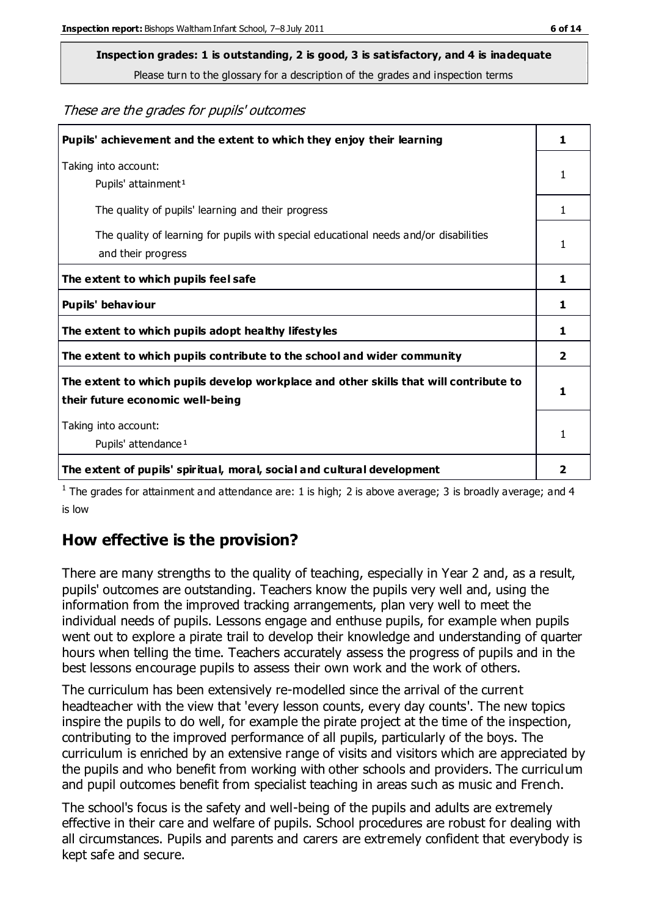Please turn to the glossary for a description of the grades and inspection terms

These are the grades for pupils' outcomes

| Pupils' achievement and the extent to which they enjoy their learning                                                     | 1 |
|---------------------------------------------------------------------------------------------------------------------------|---|
| Taking into account:<br>Pupils' attainment <sup>1</sup>                                                                   | 1 |
| The quality of pupils' learning and their progress                                                                        | 1 |
| The quality of learning for pupils with special educational needs and/or disabilities<br>and their progress               | 1 |
| The extent to which pupils feel safe                                                                                      | 1 |
| Pupils' behaviour                                                                                                         |   |
| The extent to which pupils adopt healthy lifestyles                                                                       | 1 |
| The extent to which pupils contribute to the school and wider community                                                   |   |
| The extent to which pupils develop workplace and other skills that will contribute to<br>their future economic well-being |   |
| Taking into account:                                                                                                      |   |
| Pupils' attendance <sup>1</sup>                                                                                           | 1 |
| The extent of pupils' spiritual, moral, social and cultural development                                                   | 2 |

<sup>1</sup> The grades for attainment and attendance are: 1 is high; 2 is above average; 3 is broadly average; and 4 is low

## **How effective is the provision?**

There are many strengths to the quality of teaching, especially in Year 2 and, as a result, pupils' outcomes are outstanding. Teachers know the pupils very well and, using the information from the improved tracking arrangements, plan very well to meet the individual needs of pupils. Lessons engage and enthuse pupils, for example when pupils went out to explore a pirate trail to develop their knowledge and understanding of quarter hours when telling the time. Teachers accurately assess the progress of pupils and in the best lessons encourage pupils to assess their own work and the work of others.

The curriculum has been extensively re-modelled since the arrival of the current headteacher with the view that 'every lesson counts, every day counts'. The new topics inspire the pupils to do well, for example the pirate project at the time of the inspection, contributing to the improved performance of all pupils, particularly of the boys. The curriculum is enriched by an extensive range of visits and visitors which are appreciated by the pupils and who benefit from working with other schools and providers. The curriculum and pupil outcomes benefit from specialist teaching in areas such as music and French.

The school's focus is the safety and well-being of the pupils and adults are extremely effective in their care and welfare of pupils. School procedures are robust for dealing with all circumstances. Pupils and parents and carers are extremely confident that everybody is kept safe and secure.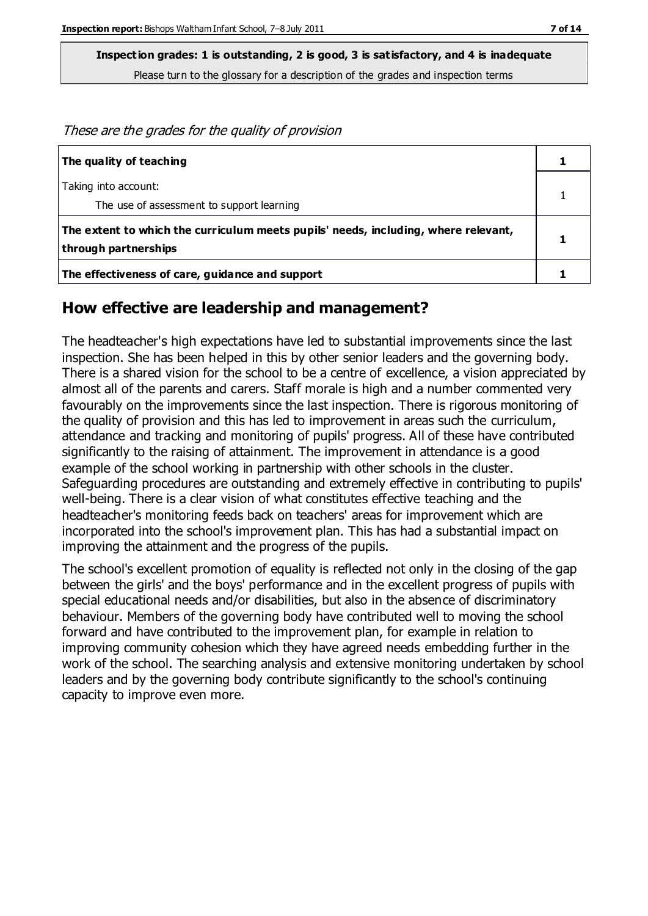Please turn to the glossary for a description of the grades and inspection terms

These are the grades for the quality of provision

| The quality of teaching                                                                                    |  |
|------------------------------------------------------------------------------------------------------------|--|
| Taking into account:<br>The use of assessment to support learning                                          |  |
| The extent to which the curriculum meets pupils' needs, including, where relevant,<br>through partnerships |  |
| The effectiveness of care, guidance and support                                                            |  |

#### **How effective are leadership and management?**

The headteacher's high expectations have led to substantial improvements since the last inspection. She has been helped in this by other senior leaders and the governing body. There is a shared vision for the school to be a centre of excellence, a vision appreciated by almost all of the parents and carers. Staff morale is high and a number commented very favourably on the improvements since the last inspection. There is rigorous monitoring of the quality of provision and this has led to improvement in areas such the curriculum, attendance and tracking and monitoring of pupils' progress. All of these have contributed significantly to the raising of attainment. The improvement in attendance is a good example of the school working in partnership with other schools in the cluster. Safeguarding procedures are outstanding and extremely effective in contributing to pupils' well-being. There is a clear vision of what constitutes effective teaching and the headteacher's monitoring feeds back on teachers' areas for improvement which are incorporated into the school's improvement plan. This has had a substantial impact on improving the attainment and the progress of the pupils.

The school's excellent promotion of equality is reflected not only in the closing of the gap between the girls' and the boys' performance and in the excellent progress of pupils with special educational needs and/or disabilities, but also in the absence of discriminatory behaviour. Members of the governing body have contributed well to moving the school forward and have contributed to the improvement plan, for example in relation to improving community cohesion which they have agreed needs embedding further in the work of the school. The searching analysis and extensive monitoring undertaken by school leaders and by the governing body contribute significantly to the school's continuing capacity to improve even more.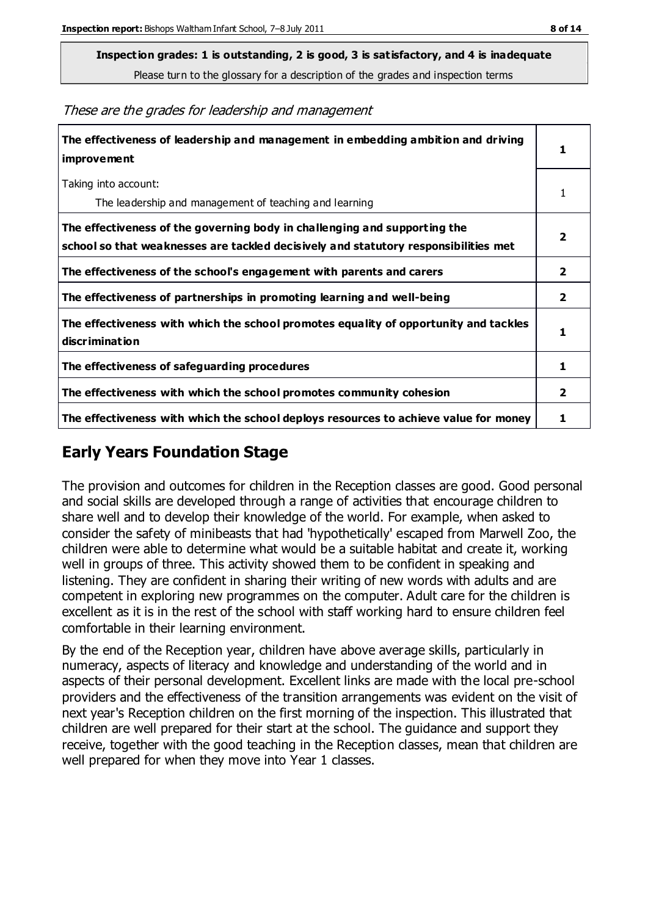Please turn to the glossary for a description of the grades and inspection terms

These are the grades for leadership and management

| The effectiveness of leadership and management in embedding ambition and driving<br>improvement                                                                  |                |
|------------------------------------------------------------------------------------------------------------------------------------------------------------------|----------------|
| Taking into account:<br>The leadership and management of teaching and learning                                                                                   |                |
| The effectiveness of the governing body in challenging and supporting the<br>school so that weaknesses are tackled decisively and statutory responsibilities met | 2              |
| The effectiveness of the school's engagement with parents and carers                                                                                             | 2              |
| The effectiveness of partnerships in promoting learning and well-being                                                                                           | 2              |
| The effectiveness with which the school promotes equality of opportunity and tackles<br>discrimination                                                           | 1              |
| The effectiveness of safeguarding procedures                                                                                                                     | 1              |
| The effectiveness with which the school promotes community cohesion                                                                                              | $\overline{2}$ |
| The effectiveness with which the school deploys resources to achieve value for money                                                                             | 1              |

### **Early Years Foundation Stage**

The provision and outcomes for children in the Reception classes are good. Good personal and social skills are developed through a range of activities that encourage children to share well and to develop their knowledge of the world. For example, when asked to consider the safety of minibeasts that had 'hypothetically' escaped from Marwell Zoo, the children were able to determine what would be a suitable habitat and create it, working well in groups of three. This activity showed them to be confident in speaking and listening. They are confident in sharing their writing of new words with adults and are competent in exploring new programmes on the computer. Adult care for the children is excellent as it is in the rest of the school with staff working hard to ensure children feel comfortable in their learning environment.

By the end of the Reception year, children have above average skills, particularly in numeracy, aspects of literacy and knowledge and understanding of the world and in aspects of their personal development. Excellent links are made with the local pre-school providers and the effectiveness of the transition arrangements was evident on the visit of next year's Reception children on the first morning of the inspection. This illustrated that children are well prepared for their start at the school. The guidance and support they receive, together with the good teaching in the Reception classes, mean that children are well prepared for when they move into Year 1 classes.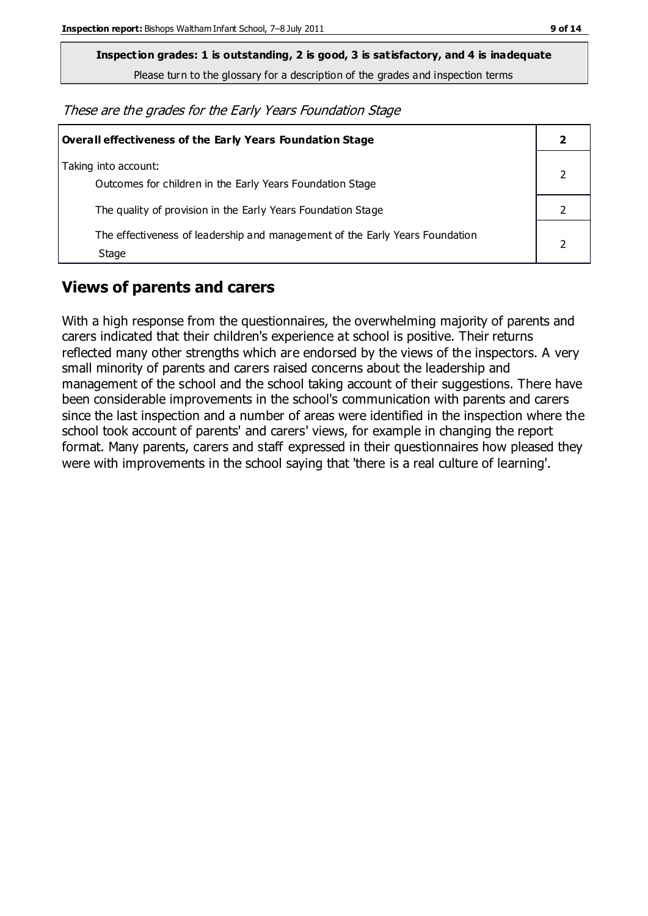Please turn to the glossary for a description of the grades and inspection terms

These are the grades for the Early Years Foundation Stage

| Overall effectiveness of the Early Years Foundation Stage                             |  |
|---------------------------------------------------------------------------------------|--|
| Taking into account:<br>Outcomes for children in the Early Years Foundation Stage     |  |
| The quality of provision in the Early Years Foundation Stage                          |  |
| The effectiveness of leadership and management of the Early Years Foundation<br>Stage |  |

### **Views of parents and carers**

With a high response from the questionnaires, the overwhelming majority of parents and carers indicated that their children's experience at school is positive. Their returns reflected many other strengths which are endorsed by the views of the inspectors. A very small minority of parents and carers raised concerns about the leadership and management of the school and the school taking account of their suggestions. There have been considerable improvements in the school's communication with parents and carers since the last inspection and a number of areas were identified in the inspection where the school took account of parents' and carers' views, for example in changing the report format. Many parents, carers and staff expressed in their questionnaires how pleased they were with improvements in the school saying that 'there is a real culture of learning'.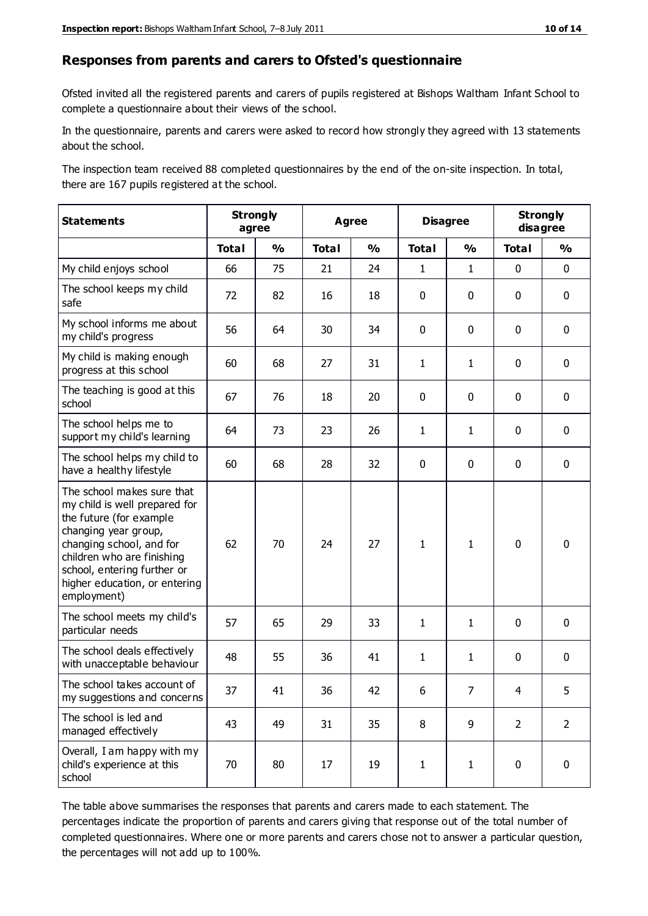#### **Responses from parents and carers to Ofsted's questionnaire**

Ofsted invited all the registered parents and carers of pupils registered at Bishops Waltham Infant School to complete a questionnaire about their views of the school.

In the questionnaire, parents and carers were asked to record how strongly they agreed with 13 statements about the school.

The inspection team received 88 completed questionnaires by the end of the on-site inspection. In total, there are 167 pupils registered at the school.

| <b>Statements</b>                                                                                                                                                                                                                                       |              | <b>Strongly</b><br>agree | <b>Agree</b> |               | <b>Disagree</b> |                | <b>Strongly</b><br>disagree |                |
|---------------------------------------------------------------------------------------------------------------------------------------------------------------------------------------------------------------------------------------------------------|--------------|--------------------------|--------------|---------------|-----------------|----------------|-----------------------------|----------------|
|                                                                                                                                                                                                                                                         | <b>Total</b> | $\frac{0}{0}$            | <b>Total</b> | $\frac{1}{2}$ | <b>Total</b>    | $\frac{1}{2}$  | <b>Total</b>                | $\frac{1}{2}$  |
| My child enjoys school                                                                                                                                                                                                                                  | 66           | 75                       | 21           | 24            | 1               | 1              | $\mathbf 0$                 | $\mathbf 0$    |
| The school keeps my child<br>safe                                                                                                                                                                                                                       | 72           | 82                       | 16           | 18            | 0               | 0              | $\mathbf 0$                 | $\mathbf 0$    |
| My school informs me about<br>my child's progress                                                                                                                                                                                                       | 56           | 64                       | 30           | 34            | 0               | 0              | $\mathbf 0$                 | $\mathbf 0$    |
| My child is making enough<br>progress at this school                                                                                                                                                                                                    | 60           | 68                       | 27           | 31            | $\mathbf{1}$    | 1              | $\mathbf 0$                 | $\mathbf 0$    |
| The teaching is good at this<br>school                                                                                                                                                                                                                  | 67           | 76                       | 18           | 20            | 0               | 0              | 0                           | $\mathbf 0$    |
| The school helps me to<br>support my child's learning                                                                                                                                                                                                   | 64           | 73                       | 23           | 26            | 1               | 1              | 0                           | $\mathbf 0$    |
| The school helps my child to<br>have a healthy lifestyle                                                                                                                                                                                                | 60           | 68                       | 28           | 32            | 0               | 0              | 0                           | $\pmb{0}$      |
| The school makes sure that<br>my child is well prepared for<br>the future (for example<br>changing year group,<br>changing school, and for<br>children who are finishing<br>school, entering further or<br>higher education, or entering<br>employment) | 62           | 70                       | 24           | 27            | $\mathbf{1}$    | 1              | $\mathbf 0$                 | $\mathbf 0$    |
| The school meets my child's<br>particular needs                                                                                                                                                                                                         | 57           | 65                       | 29           | 33            | 1               | 1              | $\mathbf 0$                 | $\mathbf 0$    |
| The school deals effectively<br>with unacceptable behaviour                                                                                                                                                                                             | 48           | 55                       | 36           | 41            | 1               | 1              | $\mathbf 0$                 | $\mathbf 0$    |
| The school takes account of<br>my suggestions and concerns                                                                                                                                                                                              | 37           | 41                       | 36           | 42            | 6               | $\overline{7}$ | 4                           | 5              |
| The school is led and<br>managed effectively                                                                                                                                                                                                            | 43           | 49                       | 31           | 35            | 8               | 9              | $\overline{2}$              | $\overline{2}$ |
| Overall, I am happy with my<br>child's experience at this<br>school                                                                                                                                                                                     | 70           | 80                       | 17           | 19            | $\mathbf 1$     | $\mathbf{1}$   | $\mathbf 0$                 | $\pmb{0}$      |

The table above summarises the responses that parents and carers made to each statement. The percentages indicate the proportion of parents and carers giving that response out of the total number of completed questionnaires. Where one or more parents and carers chose not to answer a particular question, the percentages will not add up to 100%.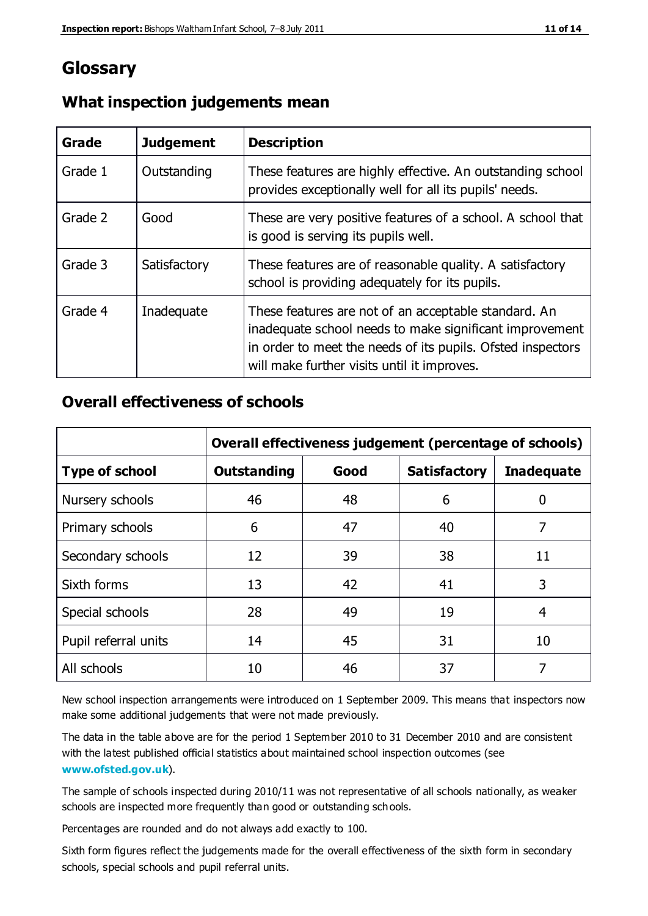# **Glossary**

| Grade   | <b>Judgement</b> | <b>Description</b>                                                                                                                                                                                                            |
|---------|------------------|-------------------------------------------------------------------------------------------------------------------------------------------------------------------------------------------------------------------------------|
| Grade 1 | Outstanding      | These features are highly effective. An outstanding school<br>provides exceptionally well for all its pupils' needs.                                                                                                          |
| Grade 2 | Good             | These are very positive features of a school. A school that<br>is good is serving its pupils well.                                                                                                                            |
| Grade 3 | Satisfactory     | These features are of reasonable quality. A satisfactory<br>school is providing adequately for its pupils.                                                                                                                    |
| Grade 4 | Inadequate       | These features are not of an acceptable standard. An<br>inadequate school needs to make significant improvement<br>in order to meet the needs of its pupils. Ofsted inspectors<br>will make further visits until it improves. |

### **What inspection judgements mean**

### **Overall effectiveness of schools**

|                       | Overall effectiveness judgement (percentage of schools) |      |                     |                   |
|-----------------------|---------------------------------------------------------|------|---------------------|-------------------|
| <b>Type of school</b> | <b>Outstanding</b>                                      | Good | <b>Satisfactory</b> | <b>Inadequate</b> |
| Nursery schools       | 46                                                      | 48   | 6                   |                   |
| Primary schools       | 6                                                       | 47   | 40                  | 7                 |
| Secondary schools     | 12                                                      | 39   | 38                  | 11                |
| Sixth forms           | 13                                                      | 42   | 41                  | 3                 |
| Special schools       | 28                                                      | 49   | 19                  | 4                 |
| Pupil referral units  | 14                                                      | 45   | 31                  | 10                |
| All schools           | 10                                                      | 46   | 37                  |                   |

New school inspection arrangements were introduced on 1 September 2009. This means that inspectors now make some additional judgements that were not made previously.

The data in the table above are for the period 1 September 2010 to 31 December 2010 and are consistent with the latest published official statistics about maintained school inspection outcomes (see **[www.ofsted.gov.uk](http://www.ofsted.gov.uk/)**).

The sample of schools inspected during 2010/11 was not representative of all schools nationally, as weaker schools are inspected more frequently than good or outstanding schools.

Percentages are rounded and do not always add exactly to 100.

Sixth form figures reflect the judgements made for the overall effectiveness of the sixth form in secondary schools, special schools and pupil referral units.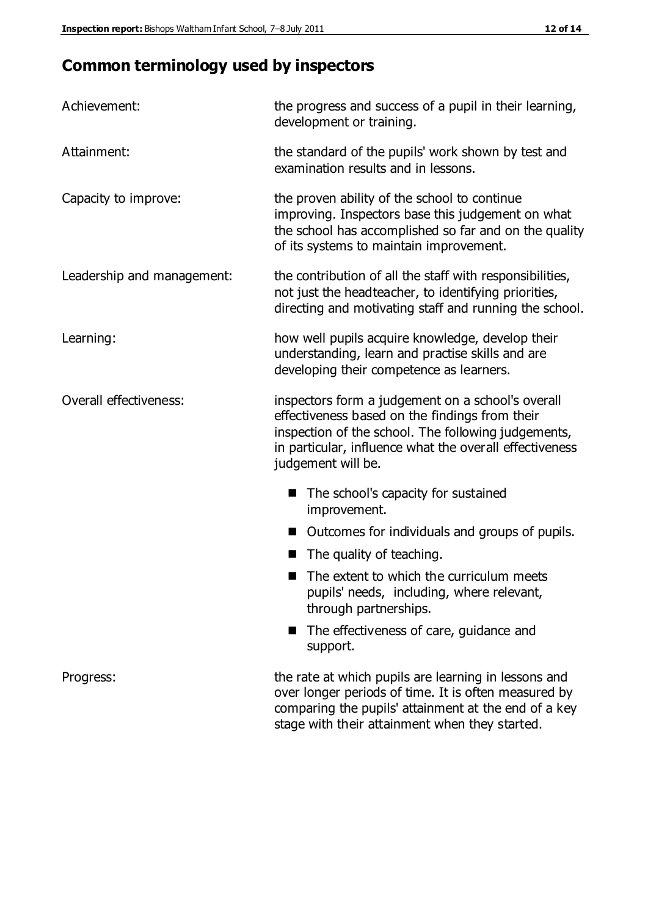# **Common terminology used by inspectors**

| Achievement:               | the progress and success of a pupil in their learning,<br>development or training.                                                                                                                                                          |  |  |
|----------------------------|---------------------------------------------------------------------------------------------------------------------------------------------------------------------------------------------------------------------------------------------|--|--|
| Attainment:                | the standard of the pupils' work shown by test and<br>examination results and in lessons.                                                                                                                                                   |  |  |
| Capacity to improve:       | the proven ability of the school to continue<br>improving. Inspectors base this judgement on what<br>the school has accomplished so far and on the quality<br>of its systems to maintain improvement.                                       |  |  |
| Leadership and management: | the contribution of all the staff with responsibilities,<br>not just the headteacher, to identifying priorities,<br>directing and motivating staff and running the school.                                                                  |  |  |
| Learning:                  | how well pupils acquire knowledge, develop their<br>understanding, learn and practise skills and are<br>developing their competence as learners.                                                                                            |  |  |
| Overall effectiveness:     | inspectors form a judgement on a school's overall<br>effectiveness based on the findings from their<br>inspection of the school. The following judgements,<br>in particular, influence what the overall effectiveness<br>judgement will be. |  |  |
|                            | The school's capacity for sustained<br>improvement.                                                                                                                                                                                         |  |  |
|                            | Outcomes for individuals and groups of pupils.                                                                                                                                                                                              |  |  |
|                            | The quality of teaching.                                                                                                                                                                                                                    |  |  |
|                            | The extent to which the curriculum meets<br>pupils' needs, including, where relevant,<br>through partnerships.                                                                                                                              |  |  |
|                            | The effectiveness of care, guidance and<br>support.                                                                                                                                                                                         |  |  |
| Progress:                  | the rate at which pupils are learning in lessons and<br>over longer periods of time. It is often measured by<br>comparing the pupils' attainment at the end of a key                                                                        |  |  |

stage with their attainment when they started.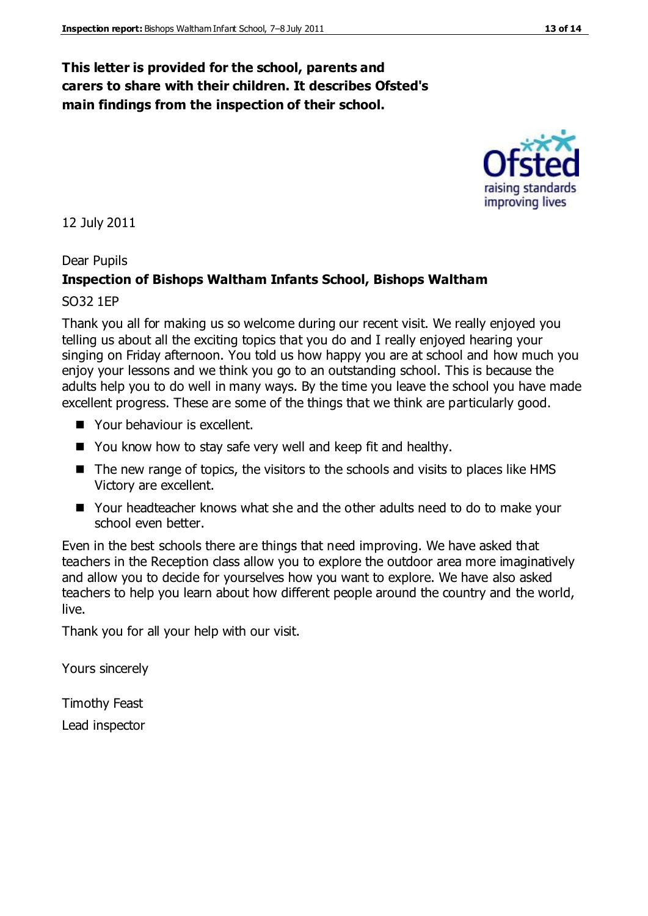### **This letter is provided for the school, parents and carers to share with their children. It describes Ofsted's main findings from the inspection of their school.**

#### 12 July 2011

#### Dear Pupils

#### **Inspection of Bishops Waltham Infants School, Bishops Waltham**

#### SO32 1EP

Thank you all for making us so welcome during our recent visit. We really enjoyed you telling us about all the exciting topics that you do and I really enjoyed hearing your singing on Friday afternoon. You told us how happy you are at school and how much you enjoy your lessons and we think you go to an outstanding school. This is because the adults help you to do well in many ways. By the time you leave the school you have made excellent progress. These are some of the things that we think are particularly good.

- Your behaviour is excellent.
- You know how to stay safe very well and keep fit and healthy.
- $\blacksquare$  The new range of topics, the visitors to the schools and visits to places like HMS Victory are excellent.
- Your headteacher knows what she and the other adults need to do to make your school even better.

Even in the best schools there are things that need improving. We have asked that teachers in the Reception class allow you to explore the outdoor area more imaginatively and allow you to decide for yourselves how you want to explore. We have also asked teachers to help you learn about how different people around the country and the world, live.

Thank you for all your help with our visit.

Yours sincerely

Timothy Feast Lead inspector